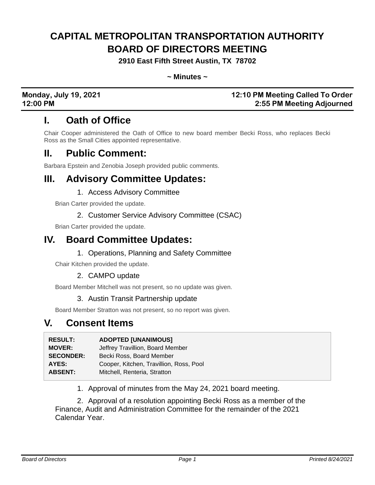# **CAPITAL METROPOLITAN TRANSPORTATION AUTHORITY BOARD OF DIRECTORS MEETING**

**2910 East Fifth Street Austin, TX 78702**

**~ Minutes ~**

#### **Monday, July 19, 2021 12:10 PM Meeting Called To Order 12:00 PM 2:55 PM Meeting Adjourned**

## **I. Oath of Office**

Chair Cooper administered the Oath of Office to new board member Becki Ross, who replaces Becki Ross as the Small Cities appointed representative.

## **II. Public Comment:**

Barbara Epstein and Zenobia Joseph provided public comments.

## **III. Advisory Committee Updates:**

#### 1. Access Advisory Committee

Brian Carter provided the update.

#### 2. Customer Service Advisory Committee (CSAC)

Brian Carter provided the update.

## **IV. Board Committee Updates:**

#### 1. Operations, Planning and Safety Committee

Chair Kitchen provided the update.

### 2. CAMPO update

Board Member Mitchell was not present, so no update was given.

#### 3. Austin Transit Partnership update

Board Member Stratton was not present, so no report was given.

## **V. Consent Items**

| <b>RESULT:</b>   | <b>ADOPTED [UNANIMOUS]</b>              |
|------------------|-----------------------------------------|
| <b>MOVER:</b>    | Jeffrey Travillion, Board Member        |
| <b>SECONDER:</b> | Becki Ross, Board Member                |
| AYES:            | Cooper, Kitchen, Travillion, Ross, Pool |
| <b>ABSENT:</b>   | Mitchell, Renteria, Stratton            |

1. Approval of minutes from the May 24, 2021 board meeting.

2. Approval of a resolution appointing Becki Ross as a member of the Finance, Audit and Administration Committee for the remainder of the 2021 Calendar Year.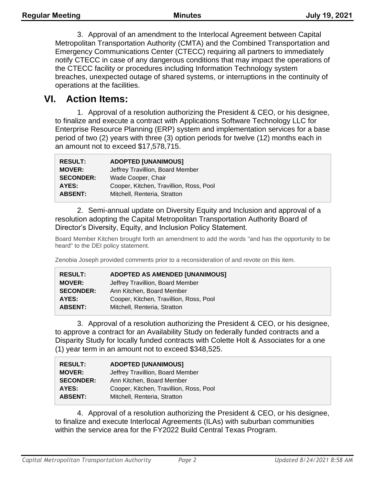3. Approval of an amendment to the Interlocal Agreement between Capital Metropolitan Transportation Authority (CMTA) and the Combined Transportation and Emergency Communications Center (CTECC) requiring all partners to immediately notify CTECC in case of any dangerous conditions that may impact the operations of the CTECC facility or procedures including Information Technology system breaches, unexpected outage of shared systems, or interruptions in the continuity of operations at the facilities.

## **VI. Action Items:**

1. Approval of a resolution authorizing the President & CEO, or his designee, to finalize and execute a contract with Applications Software Technology LLC for Enterprise Resource Planning (ERP) system and implementation services for a base period of two (2) years with three (3) option periods for twelve (12) months each in an amount not to exceed \$17,578,715.

| <b>RESULT:</b>   | <b>ADOPTED [UNANIMOUS]</b>              |
|------------------|-----------------------------------------|
| <b>MOVER:</b>    | Jeffrey Travillion, Board Member        |
| <b>SECONDER:</b> | Wade Cooper, Chair                      |
| <b>AYES:</b>     | Cooper, Kitchen, Travillion, Ross, Pool |
| <b>ABSENT:</b>   | Mitchell, Renteria, Stratton            |

2. Semi-annual update on Diversity Equity and Inclusion and approval of a resolution adopting the Capital Metropolitan Transportation Authority Board of Director's Diversity, Equity, and Inclusion Policy Statement.

Board Member Kitchen brought forth an amendment to add the words "and has the opportunity to be heard" to the DEI policy statement.

Zenobia Joseph provided comments prior to a reconsideration of and revote on this item.

| <b>RESULT:</b>   | <b>ADOPTED AS AMENDED [UNANIMOUS]</b>   |
|------------------|-----------------------------------------|
| <b>MOVER:</b>    | Jeffrey Travillion, Board Member        |
| <b>SECONDER:</b> | Ann Kitchen, Board Member               |
| <b>AYES:</b>     | Cooper, Kitchen, Travillion, Ross, Pool |
| <b>ABSENT:</b>   | Mitchell, Renteria, Stratton            |
|                  |                                         |

3. Approval of a resolution authorizing the President & CEO, or his designee, to approve a contract for an Availability Study on federally funded contracts and a Disparity Study for locally funded contracts with Colette Holt & Associates for a one (1) year term in an amount not to exceed \$348,525.

| <b>RESULT:</b>   | <b>ADOPTED [UNANIMOUS]</b>              |
|------------------|-----------------------------------------|
| <b>MOVER:</b>    | Jeffrey Travillion, Board Member        |
| <b>SECONDER:</b> | Ann Kitchen, Board Member               |
| AYES:            | Cooper, Kitchen, Travillion, Ross, Pool |
| <b>ABSENT:</b>   | Mitchell, Renteria, Stratton            |

4. Approval of a resolution authorizing the President & CEO, or his designee, to finalize and execute Interlocal Agreements (ILAs) with suburban communities within the service area for the FY2022 Build Central Texas Program.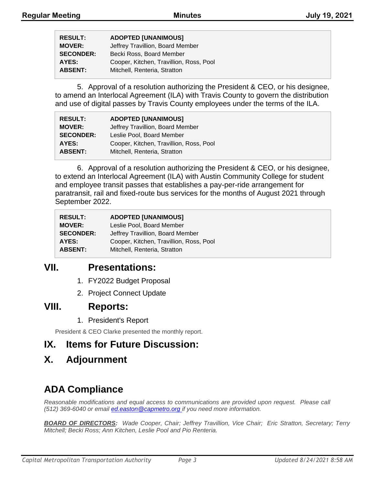| <b>RESULT:</b>   | <b>ADOPTED [UNANIMOUS]</b>              |
|------------------|-----------------------------------------|
| <b>MOVER:</b>    | Jeffrey Travillion, Board Member        |
| <b>SECONDER:</b> | Becki Ross, Board Member                |
| AYES:            | Cooper, Kitchen, Travillion, Ross, Pool |
| <b>ABSENT:</b>   | Mitchell, Renteria, Stratton            |

5. Approval of a resolution authorizing the President & CEO, or his designee, to amend an Interlocal Agreement (ILA) with Travis County to govern the distribution and use of digital passes by Travis County employees under the terms of the ILA.

| <b>RESULT:</b>   | <b>ADOPTED [UNANIMOUS]</b>              |
|------------------|-----------------------------------------|
| <b>MOVER:</b>    | Jeffrey Travillion, Board Member        |
| <b>SECONDER:</b> | Leslie Pool, Board Member               |
| AYES:            | Cooper, Kitchen, Travillion, Ross, Pool |
| <b>ABSENT:</b>   | Mitchell, Renteria, Stratton            |

6. Approval of a resolution authorizing the President & CEO, or his designee, to extend an Interlocal Agreement (ILA) with Austin Community College for student and employee transit passes that establishes a pay-per-ride arrangement for paratransit, rail and fixed-route bus services for the months of August 2021 through September 2022.

| <b>RESULT:</b>   | <b>ADOPTED [UNANIMOUS]</b>              |
|------------------|-----------------------------------------|
| <b>MOVER:</b>    | Leslie Pool, Board Member               |
| <b>SECONDER:</b> | Jeffrey Travillion, Board Member        |
| AYES:            | Cooper, Kitchen, Travillion, Ross, Pool |
| <b>ABSENT:</b>   | Mitchell, Renteria, Stratton            |

## **VII. Presentations:**

- 1. FY2022 Budget Proposal
- 2. Project Connect Update

## **VIII. Reports:**

1. President's Report

President & CEO Clarke presented the monthly report.

## **IX. Items for Future Discussion:**

## **X. Adjournment**

## **ADA Compliance**

*Reasonable modifications and equal access to communications are provided upon request. Please call (512) 369-6040 or email ed.easton@capmetro.org if you need more information.*

*BOARD OF DIRECTORS: Wade Cooper, Chair; Jeffrey Travillion, Vice Chair; Eric Stratton, Secretary; Terry Mitchell; Becki Ross; Ann Kitchen, Leslie Pool and Pio Renteria.*